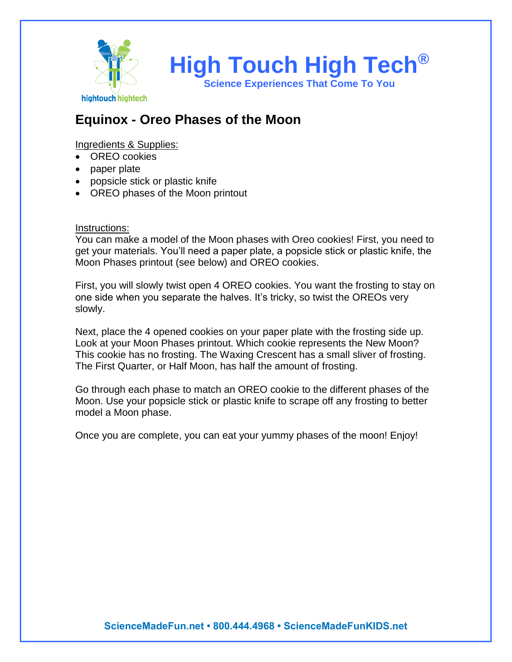

## **Equinox - Oreo Phases of the Moon**

### Ingredients & Supplies:

- OREO cookies
- paper plate
- popsicle stick or plastic knife
- OREO phases of the Moon printout

### Instructions:

You can make a model of the Moon phases with Oreo cookies! First, you need to get your materials. You'll need a paper plate, a popsicle stick or plastic knife, the Moon Phases printout (see below) and OREO cookies.

First, you will slowly twist open 4 OREO cookies. You want the frosting to stay on one side when you separate the halves. It's tricky, so twist the OREOs very slowly.

Next, place the 4 opened cookies on your paper plate with the frosting side up. Look at your Moon Phases printout. Which cookie represents the New Moon? This cookie has no frosting. The Waxing Crescent has a small sliver of frosting. The First Quarter, or Half Moon, has half the amount of frosting.

Go through each phase to match an OREO cookie to the different phases of the Moon. Use your popsicle stick or plastic knife to scrape off any frosting to better model a Moon phase.

Once you are complete, you can eat your yummy phases of the moon! Enjoy!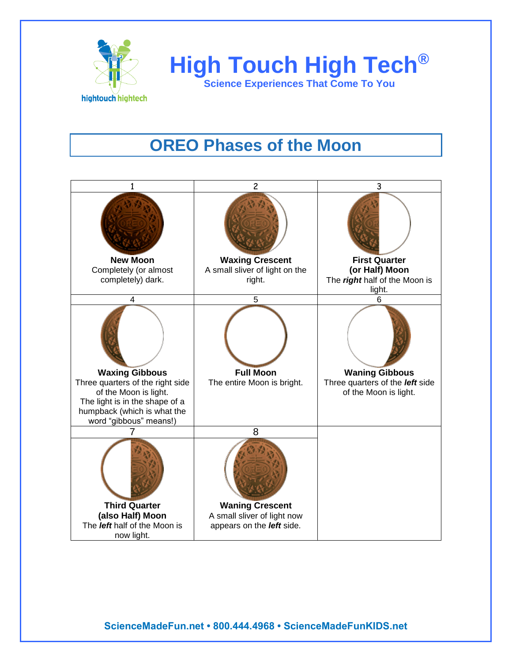



# **OREO Phases of the Moon**



**ScienceMadeFun.net • 800.444.4968 • ScienceMadeFunKIDS.net**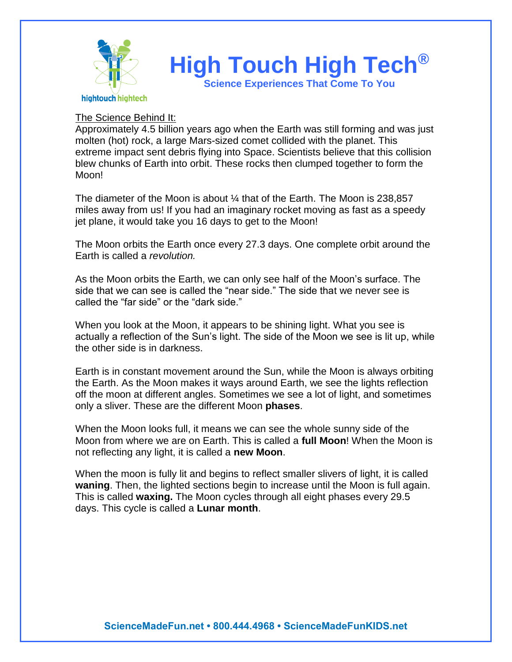

### The Science Behind It:

Approximately 4.5 billion years ago when the Earth was still forming and was just molten (hot) rock, a large Mars-sized comet collided with the planet. This extreme impact sent debris flying into Space. Scientists believe that this collision blew chunks of Earth into orbit. These rocks then clumped together to form the Moon!

The diameter of the Moon is about ¼ that of the Earth. The Moon is 238,857 miles away from us! If you had an imaginary rocket moving as fast as a speedy jet plane, it would take you 16 days to get to the Moon!

The Moon orbits the Earth once every 27.3 days. One complete orbit around the Earth is called a *revolution.* 

As the Moon orbits the Earth, we can only see half of the Moon's surface. The side that we can see is called the "near side." The side that we never see is called the "far side" or the "dark side."

When you look at the Moon, it appears to be shining light. What you see is actually a reflection of the Sun's light. The side of the Moon we see is lit up, while the other side is in darkness.

Earth is in constant movement around the Sun, while the Moon is always orbiting the Earth. As the Moon makes it ways around Earth, we see the lights reflection off the moon at different angles. Sometimes we see a lot of light, and sometimes only a sliver. These are the different Moon **phases**.

When the Moon looks full, it means we can see the whole sunny side of the Moon from where we are on Earth. This is called a **full Moon**! When the Moon is not reflecting any light, it is called a **new Moon**.

When the moon is fully lit and begins to reflect smaller slivers of light, it is called **waning**. Then, the lighted sections begin to increase until the Moon is full again. This is called **waxing.** The Moon cycles through all eight phases every 29.5 days. This cycle is called a **Lunar month**.